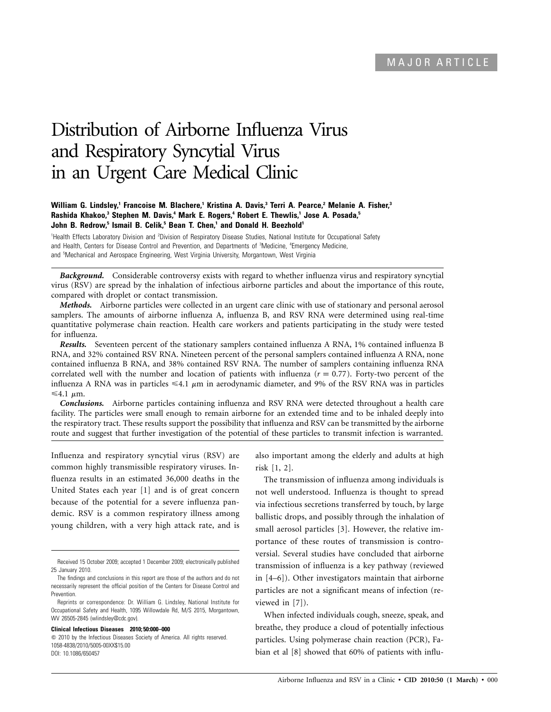# Distribution of Airborne Influenza Virus and Respiratory Syncytial Virus in an Urgent Care Medical Clinic

# **William G. Lindsley,1 Francoise M. Blachere,1 Kristina A. Davis,3 Terri A. Pearce,2 Melanie A. Fisher,3 Rashida Khakoo,3 Stephen M. Davis,4 Mark E. Rogers,4 Robert E. Thewlis,1 Jose A. Posada,5 John B. Redrow,<sup>5</sup> Ismail B. Celik,<sup>5</sup> Bean T. Chen,<sup>1</sup> and Donald H. Beezhold<sup>1</sup>**

<sup>1</sup>Health Effects Laboratory Division and <sup>2</sup>Division of Respiratory Disease Studies, National Institute for Occupational Safety and Health, Centers for Disease Control and Prevention, and Departments of <sup>3</sup>Medicine, <sup>4</sup>Emergency Medicine, and <sup>5</sup>Mechanical and Aerospace Engineering, West Virginia University, Morgantown, West Virginia

*Background.* Considerable controversy exists with regard to whether influenza virus and respiratory syncytial virus (RSV) are spread by the inhalation of infectious airborne particles and about the importance of this route, compared with droplet or contact transmission.

*Methods.* Airborne particles were collected in an urgent care clinic with use of stationary and personal aerosol samplers. The amounts of airborne influenza A, influenza B, and RSV RNA were determined using real-time quantitative polymerase chain reaction. Health care workers and patients participating in the study were tested for influenza.

*Results.* Seventeen percent of the stationary samplers contained influenza A RNA, 1% contained influenza B RNA, and 32% contained RSV RNA. Nineteen percent of the personal samplers contained influenza A RNA, none contained influenza B RNA, and 38% contained RSV RNA. The number of samplers containing influenza RNA correlated well with the number and location of patients with influenza  $(r = 0.77)$ . Forty-two percent of the influenza A RNA was in particles  $\leq 4.1 \mu m$  in aerodynamic diameter, and 9% of the RSV RNA was in particles  $\leq 4.1 \mu m$ .

*Conclusions.* Airborne particles containing influenza and RSV RNA were detected throughout a health care facility. The particles were small enough to remain airborne for an extended time and to be inhaled deeply into the respiratory tract. These results support the possibility that influenza and RSV can be transmitted by the airborne route and suggest that further investigation of the potential of these particles to transmit infection is warranted.

Influenza and respiratory syncytial virus (RSV) are common highly transmissible respiratory viruses. Influenza results in an estimated 36,000 deaths in the United States each year [1] and is of great concern because of the potential for a severe influenza pandemic. RSV is a common respiratory illness among young children, with a very high attack rate, and is

**Clinical Infectious Diseases 2010; 50:000–000**

also important among the elderly and adults at high risk [1, 2].

The transmission of influenza among individuals is not well understood. Influenza is thought to spread via infectious secretions transferred by touch, by large ballistic drops, and possibly through the inhalation of small aerosol particles [3]. However, the relative importance of these routes of transmission is controversial. Several studies have concluded that airborne transmission of influenza is a key pathway (reviewed in [4–6]). Other investigators maintain that airborne particles are not a significant means of infection (reviewed in [7]).

When infected individuals cough, sneeze, speak, and breathe, they produce a cloud of potentially infectious particles. Using polymerase chain reaction (PCR), Fabian et al [8] showed that 60% of patients with influ-

Received 15 October 2009; accepted 1 December 2009; electronically published 25 January 2010.

The findings and conclusions in this report are those of the authors and do not necessarily represent the official position of the Centers for Disease Control and Prevention.

Reprints or correspondence: Dr. William G. Lindsley, National Institute for Occupational Safety and Health, 1095 Willowdale Rd, M/S 2015, Morgantown, WV 26505-2845 (wlindsley@cdc.gov).

 $\odot$  2010 by the Infectious Diseases Society of America. All rights reserved. 1058-4838/2010/5005-00XX\$15.00 DOI: 10.1086/650457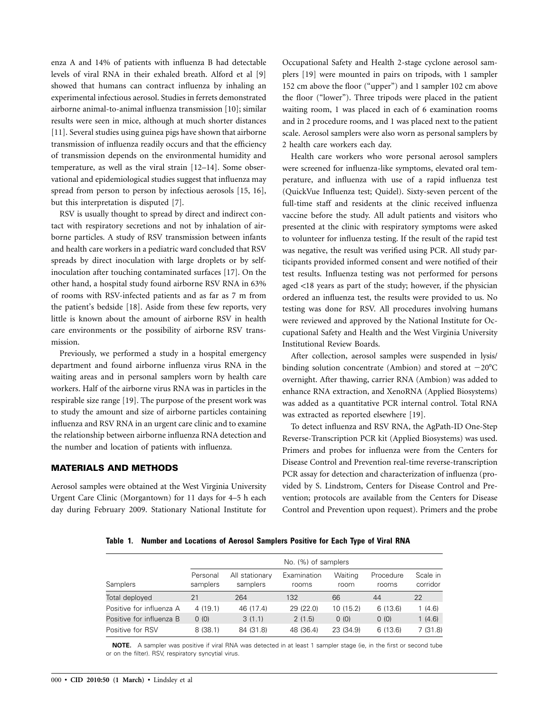enza A and 14% of patients with influenza B had detectable levels of viral RNA in their exhaled breath. Alford et al [9] showed that humans can contract influenza by inhaling an experimental infectious aerosol. Studies in ferrets demonstrated airborne animal-to-animal influenza transmission [10]; similar results were seen in mice, although at much shorter distances [11]. Several studies using guinea pigs have shown that airborne transmission of influenza readily occurs and that the efficiency of transmission depends on the environmental humidity and temperature, as well as the viral strain [12–14]. Some observational and epidemiological studies suggest that influenza may spread from person to person by infectious aerosols [15, 16], but this interpretation is disputed [7].

RSV is usually thought to spread by direct and indirect contact with respiratory secretions and not by inhalation of airborne particles. A study of RSV transmission between infants and health care workers in a pediatric ward concluded that RSV spreads by direct inoculation with large droplets or by selfinoculation after touching contaminated surfaces [17]. On the other hand, a hospital study found airborne RSV RNA in 63% of rooms with RSV-infected patients and as far as 7 m from the patient's bedside [18]. Aside from these few reports, very little is known about the amount of airborne RSV in health care environments or the possibility of airborne RSV transmission.

Previously, we performed a study in a hospital emergency department and found airborne influenza virus RNA in the waiting areas and in personal samplers worn by health care workers. Half of the airborne virus RNA was in particles in the respirable size range [19]. The purpose of the present work was to study the amount and size of airborne particles containing influenza and RSV RNA in an urgent care clinic and to examine the relationship between airborne influenza RNA detection and the number and location of patients with influenza.

# **MATERIALS AND METHODS**

Aerosol samples were obtained at the West Virginia University Urgent Care Clinic (Morgantown) for 11 days for 4–5 h each day during February 2009. Stationary National Institute for

Occupational Safety and Health 2-stage cyclone aerosol samplers [19] were mounted in pairs on tripods, with 1 sampler 152 cm above the floor ("upper") and 1 sampler 102 cm above the floor ("lower"). Three tripods were placed in the patient waiting room, 1 was placed in each of 6 examination rooms and in 2 procedure rooms, and 1 was placed next to the patient scale. Aerosol samplers were also worn as personal samplers by 2 health care workers each day.

Health care workers who wore personal aerosol samplers were screened for influenza-like symptoms, elevated oral temperature, and influenza with use of a rapid influenza test (QuickVue Influenza test; Quidel). Sixty-seven percent of the full-time staff and residents at the clinic received influenza vaccine before the study. All adult patients and visitors who presented at the clinic with respiratory symptoms were asked to volunteer for influenza testing. If the result of the rapid test was negative, the result was verified using PCR. All study participants provided informed consent and were notified of their test results. Influenza testing was not performed for persons aged <18 years as part of the study; however, if the physician ordered an influenza test, the results were provided to us. No testing was done for RSV. All procedures involving humans were reviewed and approved by the National Institute for Occupational Safety and Health and the West Virginia University Institutional Review Boards.

After collection, aerosol samples were suspended in lysis/ binding solution concentrate (Ambion) and stored at  $-20^{\circ}$ C overnight. After thawing, carrier RNA (Ambion) was added to enhance RNA extraction, and XenoRNA (Applied Biosystems) was added as a quantitative PCR internal control. Total RNA was extracted as reported elsewhere [19].

To detect influenza and RSV RNA, the AgPath-ID One-Step Reverse-Transcription PCR kit (Applied Biosystems) was used. Primers and probes for influenza were from the Centers for Disease Control and Prevention real-time reverse-transcription PCR assay for detection and characterization of influenza (provided by S. Lindstrom, Centers for Disease Control and Prevention; protocols are available from the Centers for Disease Control and Prevention upon request). Primers and the probe

**Table 1. Number and Locations of Aerosol Samplers Positive for Each Type of Viral RNA**

| Samplers                 | No. (%) of samplers  |                            |                      |                 |                    |                      |
|--------------------------|----------------------|----------------------------|----------------------|-----------------|--------------------|----------------------|
|                          | Personal<br>samplers | All stationary<br>samplers | Examination<br>rooms | Waiting<br>room | Procedure<br>rooms | Scale in<br>corridor |
| Total deployed           | 21                   | 264                        | 132                  | 66              | 44                 | 22                   |
| Positive for influenza A | 4(19.1)              | 46 (17.4)                  | 29 (22.0)            | 10 (15.2)       | 6(13.6)            | 1(4.6)               |
| Positive for influenza B | 0(0)                 | 3(1.1)                     | 2(1.5)               | 0(0)            | 0(0)               | 1(4.6)               |
| Positive for RSV         | 8(38.1)              | 84 (31.8)                  | 48 (36.4)            | 23 (34.9)       | 6(13.6)            | 7(31.8)              |

**NOTE.** A sampler was positive if viral RNA was detected in at least 1 sampler stage (ie, in the first or second tube or on the filter). RSV, respiratory syncytial virus.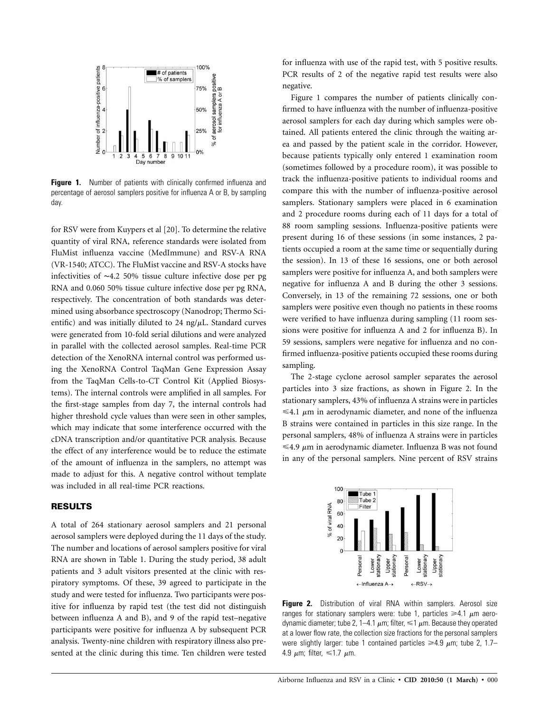

**Figure 1.** Number of patients with clinically confirmed influenza and percentage of aerosol samplers positive for influenza A or B, by sampling day.

for RSV were from Kuypers et al [20]. To determine the relative quantity of viral RNA, reference standards were isolated from FluMist influenza vaccine (MedImmune) and RSV-A RNA (VR-1540; ATCC). The FluMist vaccine and RSV-A stocks have infectivities of ∼4.2 50% tissue culture infective dose per pg RNA and 0.060 50% tissue culture infective dose per pg RNA, respectively. The concentration of both standards was determined using absorbance spectroscopy (Nanodrop; Thermo Scientific) and was initially diluted to 24 ng/ $\mu$ L. Standard curves were generated from 10-fold serial dilutions and were analyzed in parallel with the collected aerosol samples. Real-time PCR detection of the XenoRNA internal control was performed using the XenoRNA Control TaqMan Gene Expression Assay from the TaqMan Cells-to-CT Control Kit (Applied Biosystems). The internal controls were amplified in all samples. For the first-stage samples from day 7, the internal controls had higher threshold cycle values than were seen in other samples, which may indicate that some interference occurred with the cDNA transcription and/or quantitative PCR analysis. Because the effect of any interference would be to reduce the estimate of the amount of influenza in the samplers, no attempt was made to adjust for this. A negative control without template was included in all real-time PCR reactions.

# **RESULTS**

A total of 264 stationary aerosol samplers and 21 personal aerosol samplers were deployed during the 11 days of the study. The number and locations of aerosol samplers positive for viral RNA are shown in Table 1. During the study period, 38 adult patients and 3 adult visitors presented at the clinic with respiratory symptoms. Of these, 39 agreed to participate in the study and were tested for influenza. Two participants were positive for influenza by rapid test (the test did not distinguish between influenza A and B), and 9 of the rapid test–negative participants were positive for influenza A by subsequent PCR analysis. Twenty-nine children with respiratory illness also presented at the clinic during this time. Ten children were tested

for influenza with use of the rapid test, with 5 positive results. PCR results of 2 of the negative rapid test results were also negative.

Figure 1 compares the number of patients clinically confirmed to have influenza with the number of influenza-positive aerosol samplers for each day during which samples were obtained. All patients entered the clinic through the waiting area and passed by the patient scale in the corridor. However, because patients typically only entered 1 examination room (sometimes followed by a procedure room), it was possible to track the influenza-positive patients to individual rooms and compare this with the number of influenza-positive aerosol samplers. Stationary samplers were placed in 6 examination and 2 procedure rooms during each of 11 days for a total of 88 room sampling sessions. Influenza-positive patients were present during 16 of these sessions (in some instances, 2 patients occupied a room at the same time or sequentially during the session). In 13 of these 16 sessions, one or both aerosol samplers were positive for influenza A, and both samplers were negative for influenza A and B during the other 3 sessions. Conversely, in 13 of the remaining 72 sessions, one or both samplers were positive even though no patients in these rooms were verified to have influenza during sampling (11 room sessions were positive for influenza A and 2 for influenza B). In 59 sessions, samplers were negative for influenza and no confirmed influenza-positive patients occupied these rooms during sampling.

The 2-stage cyclone aerosol sampler separates the aerosol particles into 3 size fractions, as shown in Figure 2. In the stationary samplers, 43% of influenza A strains were in particles  $\leq 4.1 \mu m$  in aerodynamic diameter, and none of the influenza B strains were contained in particles in this size range. In the personal samplers, 48% of influenza A strains were in particles  $\leq 4.9 \mu m$  in aerodynamic diameter. Influenza B was not found in any of the personal samplers. Nine percent of RSV strains



**Figure 2.** Distribution of viral RNA within samplers. Aerosol size ranges for stationary samplers were: tube 1, particles  $\geq 4.1 \mu m$  aerodynamic diameter; tube 2, 1–4.1  $\mu$ m; filter,  $\leq$ 1  $\mu$ m. Because they operated at a lower flow rate, the collection size fractions for the personal samplers were slightly larger: tube 1 contained particles  $\geq 4.9$   $\mu$ m; tube 2, 1.7– 4.9  $\mu$ m; filter,  $\leq 1.7 \mu$ m.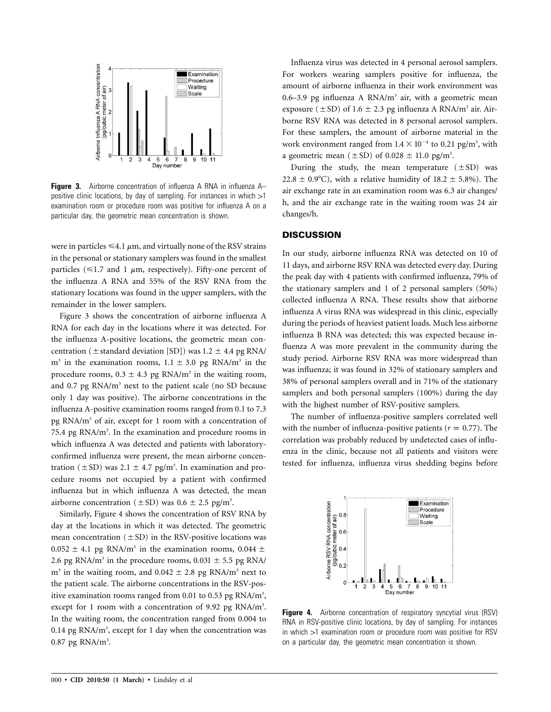

**Figure 3.** Airborne concentration of influenza A RNA in influenza A– positive clinic locations, by day of sampling. For instances in which  $>1$ examination room or procedure room was positive for influenza A on a particular day, the geometric mean concentration is shown.

were in particles  $\leq 4.1 \mu m$ , and virtually none of the RSV strains in the personal or stationary samplers was found in the smallest particles ( $\leq 1.7$  and 1  $\mu$ m, respectively). Fifty-one percent of the influenza A RNA and 55% of the RSV RNA from the stationary locations was found in the upper samplers, with the remainder in the lower samplers.

Figure 3 shows the concentration of airborne influenza A RNA for each day in the locations where it was detected. For the influenza A-positive locations, the geometric mean concentration ( $\pm$  standard deviation [SD]) was 1.2  $\pm$  4.4 pg RNA/  $m<sup>3</sup>$  in the examination rooms, 1.1  $\pm$  3.0 pg RNA/m<sup>3</sup> in the procedure rooms,  $0.3 \pm 4.3$  pg RNA/m<sup>3</sup> in the waiting room, and 0.7 pg  $RNA/m<sup>3</sup>$  next to the patient scale (no SD because only 1 day was positive). The airborne concentrations in the influenza A-positive examination rooms ranged from 0.1 to 7.3 pg RNA/m3 of air, except for 1 room with a concentration of 75.4 pg RNA/m<sup>3</sup>. In the examination and procedure rooms in which influenza A was detected and patients with laboratoryconfirmed influenza were present, the mean airborne concentration ( $\pm$  SD) was 2.1  $\pm$  4.7 pg/m<sup>3</sup>. In examination and procedure rooms not occupied by a patient with confirmed influenza but in which influenza A was detected, the mean airborne concentration ( $\pm$ SD) was 0.6  $\pm$  2.5 pg/m<sup>3</sup>.

Similarly, Figure 4 shows the concentration of RSV RNA by day at the locations in which it was detected. The geometric mean concentration  $(\pm SD)$  in the RSV-positive locations was  $0.052 \pm 4.1$  pg RNA/m<sup>3</sup> in the examination rooms,  $0.044 \pm$ 2.6 pg RNA/m<sup>3</sup> in the procedure rooms, 0.031  $\pm$  5.5 pg RNA/  $m<sup>3</sup>$  in the waiting room, and 0.042  $\pm$  2.8 pg RNA/m<sup>3</sup> next to the patient scale. The airborne concentrations in the RSV-positive examination rooms ranged from 0.01 to 0.53 pg  $\text{RNA/m}^3$ , except for 1 room with a concentration of 9.92 pg RNA/m<sup>3</sup>. In the waiting room, the concentration ranged from 0.004 to 0.14 pg RNA/m<sup>3</sup>, except for 1 day when the concentration was  $0.87$  pg RNA/m<sup>3</sup>.

Influenza virus was detected in 4 personal aerosol samplers. For workers wearing samplers positive for influenza, the amount of airborne influenza in their work environment was 0.6–3.9 pg influenza A  $\text{RNA/m}^3$  air, with a geometric mean exposure ( $\pm$ SD) of 1.6  $\pm$  2.3 pg influenza A RNA/m<sup>3</sup> air. Airborne RSV RNA was detected in 8 personal aerosol samplers. For these samplers, the amount of airborne material in the work environment ranged from  $1.4 \times 10^{-4}$  to 0.21 pg/m<sup>3</sup>, with a geometric mean ( $\pm$ SD) of 0.028  $\pm$  11.0 pg/m<sup>3</sup>.

During the study, the mean temperature  $(\pm SD)$  was  $22.8 \pm 0.9$ °C), with a relative humidity of  $18.2 \pm 5.8$ %). The air exchange rate in an examination room was 6.3 air changes/ h, and the air exchange rate in the waiting room was 24 air changes/h.

# **DISCUSSION**

In our study, airborne influenza RNA was detected on 10 of 11 days, and airborne RSV RNA was detected every day. During the peak day with 4 patients with confirmed influenza, 79% of the stationary samplers and 1 of 2 personal samplers (50%) collected influenza A RNA. These results show that airborne influenza A virus RNA was widespread in this clinic, especially during the periods of heaviest patient loads. Much less airborne influenza B RNA was detected; this was expected because influenza A was more prevalent in the community during the study period. Airborne RSV RNA was more widespread than was influenza; it was found in 32% of stationary samplers and 38% of personal samplers overall and in 71% of the stationary samplers and both personal samplers (100%) during the day with the highest number of RSV-positive samplers.

The number of influenza-positive samplers correlated well with the number of influenza-positive patients ( $r = 0.77$ ). The correlation was probably reduced by undetected cases of influenza in the clinic, because not all patients and visitors were tested for influenza, influenza virus shedding begins before



**Figure 4.** Airborne concentration of respiratory syncytial virus (RSV) RNA in RSV-positive clinic locations, by day of sampling. For instances in which >1 examination room or procedure room was positive for RSV on a particular day, the geometric mean concentration is shown.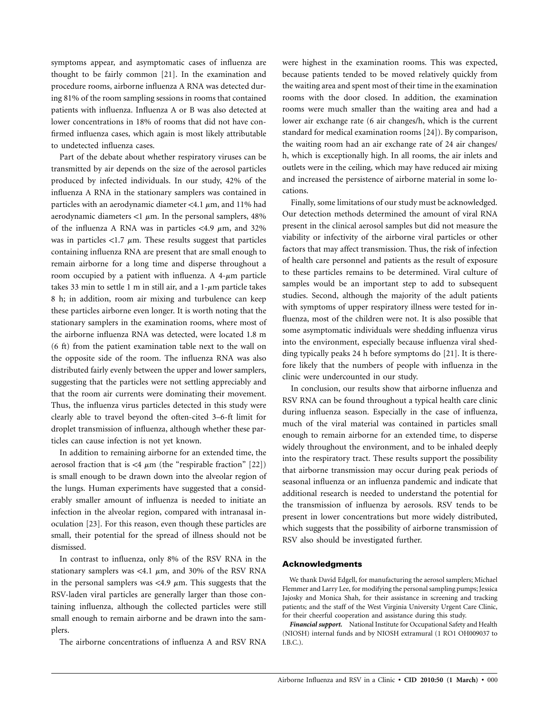symptoms appear, and asymptomatic cases of influenza are thought to be fairly common [21]. In the examination and procedure rooms, airborne influenza A RNA was detected during 81% of the room sampling sessions in rooms that contained patients with influenza. Influenza A or B was also detected at lower concentrations in 18% of rooms that did not have confirmed influenza cases, which again is most likely attributable to undetected influenza cases.

Part of the debate about whether respiratory viruses can be transmitted by air depends on the size of the aerosol particles produced by infected individuals. In our study, 42% of the influenza A RNA in the stationary samplers was contained in particles with an aerodynamic diameter <4.1  $\mu$ m, and 11% had aerodynamic diameters <1  $\mu$ m. In the personal samplers, 48% of the influenza A RNA was in particles  $\langle 4.9 \mu m,$  and 32% was in particles  $<$ 1.7  $\mu$ m. These results suggest that particles containing influenza RNA are present that are small enough to remain airborne for a long time and disperse throughout a room occupied by a patient with influenza. A  $4-\mu m$  particle takes 33 min to settle 1 m in still air, and a  $1-\mu$ m particle takes 8 h; in addition, room air mixing and turbulence can keep these particles airborne even longer. It is worth noting that the stationary samplers in the examination rooms, where most of the airborne influenza RNA was detected, were located 1.8 m (6 ft) from the patient examination table next to the wall on the opposite side of the room. The influenza RNA was also distributed fairly evenly between the upper and lower samplers, suggesting that the particles were not settling appreciably and that the room air currents were dominating their movement. Thus, the influenza virus particles detected in this study were clearly able to travel beyond the often-cited 3–6-ft limit for droplet transmission of influenza, although whether these particles can cause infection is not yet known.

In addition to remaining airborne for an extended time, the aerosol fraction that is  $\langle 4 \mu m \rangle$  (the "respirable fraction" [22]) is small enough to be drawn down into the alveolar region of the lungs. Human experiments have suggested that a considerably smaller amount of influenza is needed to initiate an infection in the alveolar region, compared with intranasal inoculation [23]. For this reason, even though these particles are small, their potential for the spread of illness should not be dismissed.

In contrast to influenza, only 8% of the RSV RNA in the stationary samplers was  $\lt 4.1 \mu m$ , and 30% of the RSV RNA in the personal samplers was  $\langle 4.9 \mu m \rangle$ . This suggests that the RSV-laden viral particles are generally larger than those containing influenza, although the collected particles were still small enough to remain airborne and be drawn into the samplers.

The airborne concentrations of influenza A and RSV RNA

were highest in the examination rooms. This was expected, because patients tended to be moved relatively quickly from the waiting area and spent most of their time in the examination rooms with the door closed. In addition, the examination rooms were much smaller than the waiting area and had a lower air exchange rate (6 air changes/h, which is the current standard for medical examination rooms [24]). By comparison, the waiting room had an air exchange rate of 24 air changes/ h, which is exceptionally high. In all rooms, the air inlets and outlets were in the ceiling, which may have reduced air mixing and increased the persistence of airborne material in some locations.

Finally, some limitations of our study must be acknowledged. Our detection methods determined the amount of viral RNA present in the clinical aerosol samples but did not measure the viability or infectivity of the airborne viral particles or other factors that may affect transmission. Thus, the risk of infection of health care personnel and patients as the result of exposure to these particles remains to be determined. Viral culture of samples would be an important step to add to subsequent studies. Second, although the majority of the adult patients with symptoms of upper respiratory illness were tested for influenza, most of the children were not. It is also possible that some asymptomatic individuals were shedding influenza virus into the environment, especially because influenza viral shedding typically peaks 24 h before symptoms do [21]. It is therefore likely that the numbers of people with influenza in the clinic were undercounted in our study.

In conclusion, our results show that airborne influenza and RSV RNA can be found throughout a typical health care clinic during influenza season. Especially in the case of influenza, much of the viral material was contained in particles small enough to remain airborne for an extended time, to disperse widely throughout the environment, and to be inhaled deeply into the respiratory tract. These results support the possibility that airborne transmission may occur during peak periods of seasonal influenza or an influenza pandemic and indicate that additional research is needed to understand the potential for the transmission of influenza by aerosols. RSV tends to be present in lower concentrations but more widely distributed, which suggests that the possibility of airborne transmission of RSV also should be investigated further.

#### **Acknowledgments**

We thank David Edgell, for manufacturing the aerosol samplers; Michael Flemmer and Larry Lee, for modifying the personal sampling pumps; Jessica Jajosky and Monica Shah, for their assistance in screening and tracking patients; and the staff of the West Virginia University Urgent Care Clinic, for their cheerful cooperation and assistance during this study.

*Financial support.* National Institute for Occupational Safety and Health (NIOSH) internal funds and by NIOSH extramural (1 RO1 OH009037 to I.B.C.).